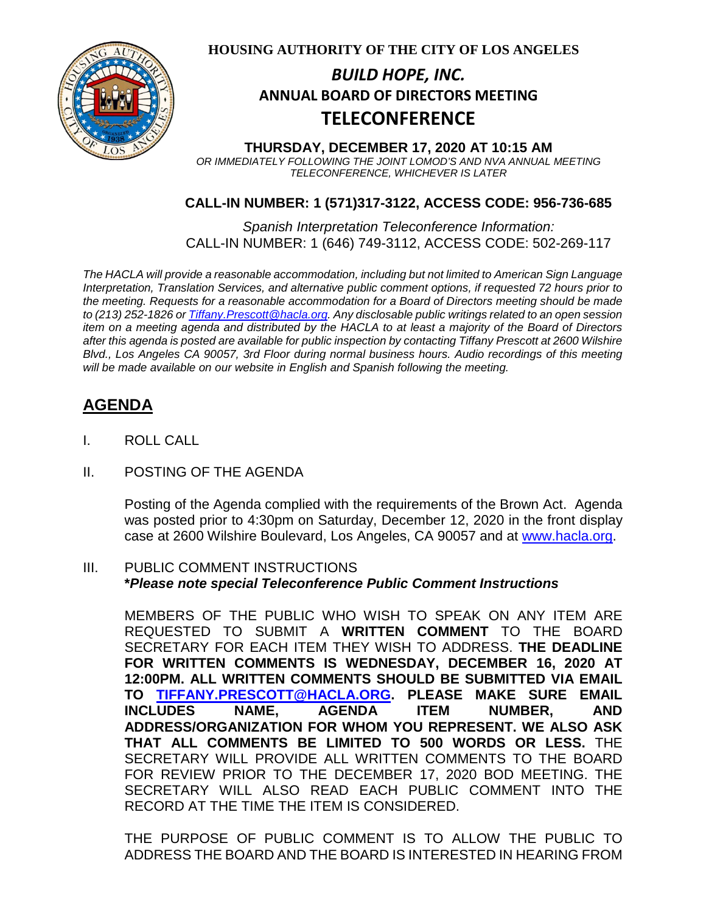

**HOUSING AUTHORITY OF THE CITY OF LOS ANGELES**

# **ANNUAL BOARD OF DIRECTORS MEETING** *BUILD HOPE, INC.* **TELECONFERENCE**

**THURSDAY, DECEMBER 17, 2020 AT 10:15 AM** *OR IMMEDIATELY FOLLOWING THE JOINT LOMOD'S AND NVA ANNUAL MEETING TELECONFERENCE, WHICHEVER IS LATER*

### **CALL-IN NUMBER: 1 (571)317-3122, ACCESS CODE: 956-736-685**

*Spanish Interpretation Teleconference Information:* CALL-IN NUMBER: 1 (646) 749-3112, ACCESS CODE: 502-269-117

*The HACLA will provide a reasonable accommodation, including but not limited to American Sign Language Interpretation, Translation Services, and alternative public comment options, if requested 72 hours prior to the meeting. Requests for a reasonable accommodation for a Board of Directors meeting should be made to (213) 252-1826 or Tiffany.Prescott@hacla.org. Any disclosable public writings related to an open session item on a meeting agenda and distributed by the HACLA to at least a majority of the Board of Directors after this agenda is posted are available for public inspection by contacting Tiffany Prescott at 2600 Wilshire Blvd., Los Angeles CA 90057, 3rd Floor during normal business hours. Audio recordings of this meeting will be made available on our website in English and Spanish following the meeting.*

## **AGENDA**

- I. ROLL CALL
- II. POSTING OF THE AGENDA

Posting of the Agenda complied with the requirements of the Brown Act. Agenda was posted prior to 4:30pm on Saturday, December 12, 2020 in the front display case at 2600 Wilshire Boulevard, Los Angeles, CA 90057 and at [www.hacla.org.](http://www.hacla.org/)

### III. PUBLIC COMMENT INSTRUCTIONS **\****Please note special Teleconference Public Comment Instructions*

MEMBERS OF THE PUBLIC WHO WISH TO SPEAK ON ANY ITEM ARE REQUESTED TO SUBMIT A **WRITTEN COMMENT** TO THE BOARD SECRETARY FOR EACH ITEM THEY WISH TO ADDRESS. **THE DEADLINE FOR WRITTEN COMMENTS IS WEDNESDAY, DECEMBER 16, 2020 AT 12:00PM. ALL WRITTEN COMMENTS SHOULD BE SUBMITTED VIA EMAIL TO [TIFFANY.PRESCOTT@HACLA.ORG.](mailto:TIFFANY.PRESCOTT@HACLA.ORG) PLEASE MAKE SURE EMAIL INCLUDES NAME, AGENDA ITEM NUMBER, AND ADDRESS/ORGANIZATION FOR WHOM YOU REPRESENT. WE ALSO ASK THAT ALL COMMENTS BE LIMITED TO 500 WORDS OR LESS.** THE SECRETARY WILL PROVIDE ALL WRITTEN COMMENTS TO THE BOARD FOR REVIEW PRIOR TO THE DECEMBER 17, 2020 BOD MEETING. THE SECRETARY WILL ALSO READ EACH PUBLIC COMMENT INTO THE RECORD AT THE TIME THE ITEM IS CONSIDERED.

THE PURPOSE OF PUBLIC COMMENT IS TO ALLOW THE PUBLIC TO ADDRESS THE BOARD AND THE BOARD IS INTERESTED IN HEARING FROM